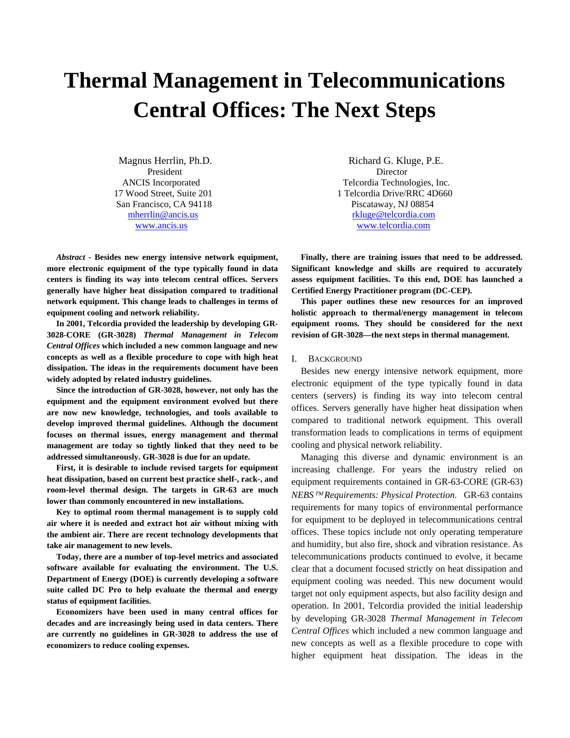# **Thermal Management in Telecommunications Central Offices: The Next Steps**

*Abstract -* **Besides new energy intensive network equipment, more electronic equipment of the type typically found in data centers is finding its way into telecom central offices. Servers generally have higher heat dissipation compared to traditional network equipment. This change leads to challenges in terms of equipment cooling and network reliability.**

**In 2001, Telcordia provided the leadership by developing GR-3028-CORE (GR-3028)** *Thermal Management in Telecom Central Offices* **which included a new common language and new concepts as well as a flexible procedure to cope with high heat dissipation. The ideas in the requirements document have been widely adopted by related industry guidelines.** 

**Since the introduction of GR-3028, however, not only has the equipment and the equipment environment evolved but there are now new knowledge, technologies, and tools available to develop improved thermal guidelines. Although the document focuses on thermal issues, energy management and thermal management are today so tightly linked that they need to be addressed simultaneously. GR-3028 is due for an update.** 

**First, it is desirable to include revised targets for equipment heat dissipation, based on current best practice shelf-, rack-, and room-level thermal design. The targets in GR-63 are much lower than commonly encountered in new installations.** 

**Key to optimal room thermal management is to supply cold air where it is needed and extract hot air without mixing with the ambient air. There are recent technology developments that take air management to new levels.** 

**Today, there are a number of top-level metrics and associated software available for evaluating the environment. The U.S. Department of Energy (DOE) is currently developing a software suite called DC Pro to help evaluate the thermal and energy status of equipment facilities.** 

**Economizers have been used in many central offices for decades and are increasingly being used in data centers. There are currently no guidelines in GR-3028 to address the use of economizers to reduce cooling expenses.** 

Magnus Herrlin, Ph.D. Richard G. Kluge, P.E. President Director ANCIS Incorporated Telcordia Technologies, Inc. 17 Wood Street, Suite 201 1 Telcordia Drive/RRC 4D660 San Francisco, CA 94118 Piscataway, NJ 08854 mherrlin@ancis.us rkluge@telcordia.com www.ancis.us www.telcordia.com

> **Finally, there are training issues that need to be addressed. Significant knowledge and skills are required to accurately assess equipment facilities. To this end, DOE has launched a Certified Energy Practitioner program (DC-CEP).**

> **This paper outlines these new resources for an improved holistic approach to thermal/energy management in telecom equipment rooms. They should be considered for the next revision of GR-3028—the next steps in thermal management.**

#### I. BACKGROUND

Besides new energy intensive network equipment, more electronic equipment of the type typically found in data centers (servers) is finding its way into telecom central offices. Servers generally have higher heat dissipation when compared to traditional network equipment. This overall transformation leads to complications in terms of equipment cooling and physical network reliability.

Managing this diverse and dynamic environment is an increasing challenge. For years the industry relied on equipment requirements contained in GR-63-CORE (GR-63) *NEBS*™ *Requirements: Physical Protection*. GR-63 contains requirements for many topics of environmental performance for equipment to be deployed in telecommunications central offices. These topics include not only operating temperature and humidity, but also fire, shock and vibration resistance. As telecommunications products continued to evolve, it became clear that a document focused strictly on heat dissipation and equipment cooling was needed. This new document would target not only equipment aspects, but also facility design and operation. In 2001, Telcordia provided the initial leadership by developing GR-3028 *Thermal Management in Telecom Central Offices* which included a new common language and new concepts as well as a flexible procedure to cope with higher equipment heat dissipation. The ideas in the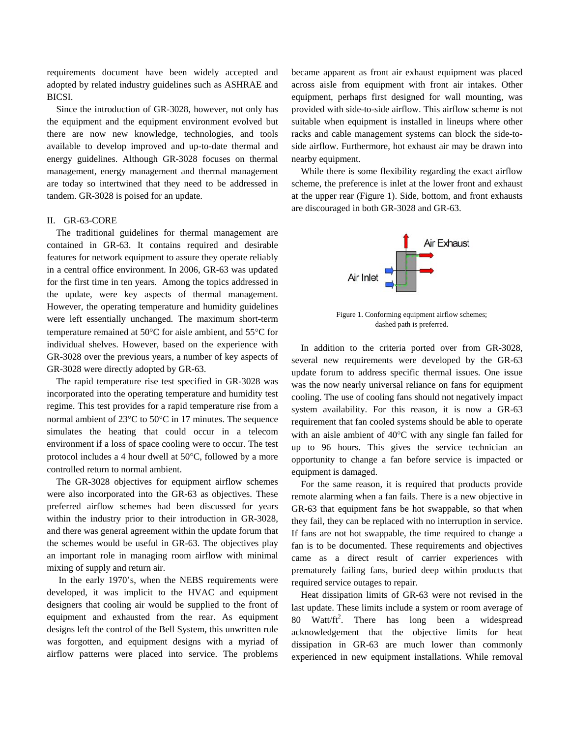requirements document have been widely accepted and adopted by related industry guidelines such as ASHRAE and BICSI.

Since the introduction of GR-3028, however, not only has the equipment and the equipment environment evolved but there are now new knowledge, technologies, and tools available to develop improved and up-to-date thermal and energy guidelines. Although GR-3028 focuses on thermal management, energy management and thermal management are today so intertwined that they need to be addressed in tandem. GR-3028 is poised for an update.

## II. GR-63-CORE

The traditional guidelines for thermal management are contained in GR-63. It contains required and desirable features for network equipment to assure they operate reliably in a central office environment. In 2006, GR-63 was updated for the first time in ten years. Among the topics addressed in the update, were key aspects of thermal management. However, the operating temperature and humidity guidelines were left essentially unchanged. The maximum short-term temperature remained at 50°C for aisle ambient, and 55°C for individual shelves. However, based on the experience with GR-3028 over the previous years, a number of key aspects of GR-3028 were directly adopted by GR-63.

The rapid temperature rise test specified in GR-3028 was incorporated into the operating temperature and humidity test regime. This test provides for a rapid temperature rise from a normal ambient of 23°C to 50°C in 17 minutes. The sequence simulates the heating that could occur in a telecom environment if a loss of space cooling were to occur. The test protocol includes a 4 hour dwell at 50°C, followed by a more controlled return to normal ambient.

The GR-3028 objectives for equipment airflow schemes were also incorporated into the GR-63 as objectives. These preferred airflow schemes had been discussed for years within the industry prior to their introduction in GR-3028, and there was general agreement within the update forum that the schemes would be useful in GR-63. The objectives play an important role in managing room airflow with minimal mixing of supply and return air.

 In the early 1970's, when the NEBS requirements were developed, it was implicit to the HVAC and equipment designers that cooling air would be supplied to the front of equipment and exhausted from the rear. As equipment designs left the control of the Bell System, this unwritten rule was forgotten, and equipment designs with a myriad of airflow patterns were placed into service. The problems became apparent as front air exhaust equipment was placed across aisle from equipment with front air intakes. Other equipment, perhaps first designed for wall mounting, was provided with side-to-side airflow. This airflow scheme is not suitable when equipment is installed in lineups where other racks and cable management systems can block the side-toside airflow. Furthermore, hot exhaust air may be drawn into nearby equipment.

While there is some flexibility regarding the exact airflow scheme, the preference is inlet at the lower front and exhaust at the upper rear (Figure 1). Side, bottom, and front exhausts are discouraged in both GR-3028 and GR-63.



Figure 1. Conforming equipment airflow schemes; dashed path is preferred.

In addition to the criteria ported over from GR-3028, several new requirements were developed by the GR-63 update forum to address specific thermal issues. One issue was the now nearly universal reliance on fans for equipment cooling. The use of cooling fans should not negatively impact system availability. For this reason, it is now a GR-63 requirement that fan cooled systems should be able to operate with an aisle ambient of 40°C with any single fan failed for up to 96 hours. This gives the service technician an opportunity to change a fan before service is impacted or equipment is damaged.

For the same reason, it is required that products provide remote alarming when a fan fails. There is a new objective in GR-63 that equipment fans be hot swappable, so that when they fail, they can be replaced with no interruption in service. If fans are not hot swappable, the time required to change a fan is to be documented. These requirements and objectives came as a direct result of carrier experiences with prematurely failing fans, buried deep within products that required service outages to repair.

Heat dissipation limits of GR-63 were not revised in the last update. These limits include a system or room average of 80 Watt/ft<sup>2</sup>. There has long been a widespread acknowledgement that the objective limits for heat dissipation in GR-63 are much lower than commonly experienced in new equipment installations. While removal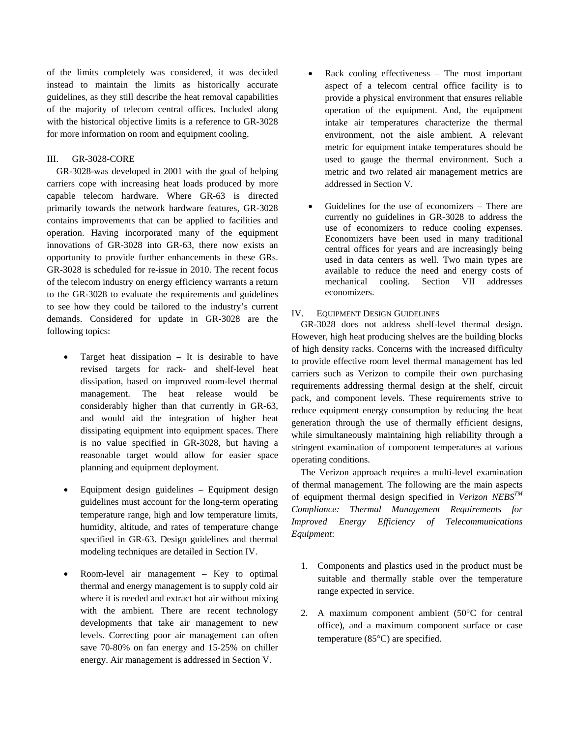of the limits completely was considered, it was decided instead to maintain the limits as historically accurate guidelines, as they still describe the heat removal capabilities of the majority of telecom central offices. Included along with the historical objective limits is a reference to GR-3028 for more information on room and equipment cooling.

# III. GR-3028-CORE

GR-3028-was developed in 2001 with the goal of helping carriers cope with increasing heat loads produced by more capable telecom hardware. Where GR-63 is directed primarily towards the network hardware features, GR-3028 contains improvements that can be applied to facilities and operation. Having incorporated many of the equipment innovations of GR-3028 into GR-63, there now exists an opportunity to provide further enhancements in these GRs. GR-3028 is scheduled for re-issue in 2010. The recent focus of the telecom industry on energy efficiency warrants a return to the GR-3028 to evaluate the requirements and guidelines to see how they could be tailored to the industry's current demands. Considered for update in GR-3028 are the following topics:

- Target heat dissipation  $-$  It is desirable to have revised targets for rack- and shelf-level heat dissipation, based on improved room-level thermal management. The heat release would be considerably higher than that currently in GR-63, and would aid the integration of higher heat dissipating equipment into equipment spaces. There is no value specified in GR-3028, but having a reasonable target would allow for easier space planning and equipment deployment.
- Equipment design guidelines Equipment design guidelines must account for the long-term operating temperature range, high and low temperature limits, humidity, altitude, and rates of temperature change specified in GR-63. Design guidelines and thermal modeling techniques are detailed in Section IV.
- Room-level air management Key to optimal thermal and energy management is to supply cold air where it is needed and extract hot air without mixing with the ambient. There are recent technology developments that take air management to new levels. Correcting poor air management can often save 70-80% on fan energy and 15-25% on chiller energy. Air management is addressed in Section V.
- Rack cooling effectiveness The most important aspect of a telecom central office facility is to provide a physical environment that ensures reliable operation of the equipment. And, the equipment intake air temperatures characterize the thermal environment, not the aisle ambient. A relevant metric for equipment intake temperatures should be used to gauge the thermal environment. Such a metric and two related air management metrics are addressed in Section V.
- Guidelines for the use of economizers There are currently no guidelines in GR-3028 to address the use of economizers to reduce cooling expenses. Economizers have been used in many traditional central offices for years and are increasingly being used in data centers as well. Two main types are available to reduce the need and energy costs of mechanical cooling. Section VII addresses economizers.

# IV. EQUIPMENT DESIGN GUIDELINES

GR-3028 does not address shelf-level thermal design. However, high heat producing shelves are the building blocks of high density racks. Concerns with the increased difficulty to provide effective room level thermal management has led carriers such as Verizon to compile their own purchasing requirements addressing thermal design at the shelf, circuit pack, and component levels. These requirements strive to reduce equipment energy consumption by reducing the heat generation through the use of thermally efficient designs, while simultaneously maintaining high reliability through a stringent examination of component temperatures at various operating conditions.

The Verizon approach requires a multi-level examination of thermal management. The following are the main aspects of equipment thermal design specified in *Verizon NEBSTM Compliance: Thermal Management Requirements for Improved Energy Efficiency of Telecommunications Equipment*:

- 1. Components and plastics used in the product must be suitable and thermally stable over the temperature range expected in service.
- 2. A maximum component ambient (50°C for central office), and a maximum component surface or case temperature (85°C) are specified.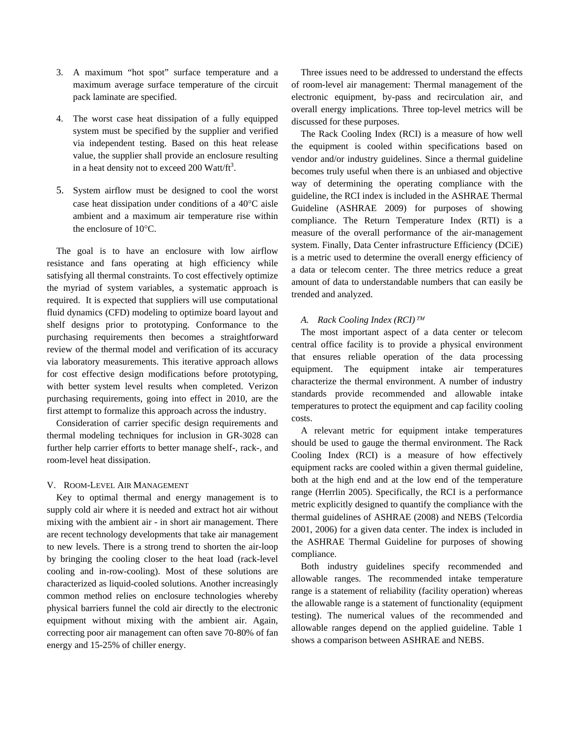- 3. A maximum "hot spot" surface temperature and a maximum average surface temperature of the circuit pack laminate are specified.
- 4. The worst case heat dissipation of a fully equipped system must be specified by the supplier and verified via independent testing. Based on this heat release value, the supplier shall provide an enclosure resulting in a heat density not to exceed 200 Watt/ft<sup>3</sup>.
- 5. System airflow must be designed to cool the worst case heat dissipation under conditions of a 40°C aisle ambient and a maximum air temperature rise within the enclosure of 10°C.

The goal is to have an enclosure with low airflow resistance and fans operating at high efficiency while satisfying all thermal constraints. To cost effectively optimize the myriad of system variables, a systematic approach is required. It is expected that suppliers will use computational fluid dynamics (CFD) modeling to optimize board layout and shelf designs prior to prototyping. Conformance to the purchasing requirements then becomes a straightforward review of the thermal model and verification of its accuracy via laboratory measurements. This iterative approach allows for cost effective design modifications before prototyping, with better system level results when completed. Verizon purchasing requirements, going into effect in 2010, are the first attempt to formalize this approach across the industry.

Consideration of carrier specific design requirements and thermal modeling techniques for inclusion in GR-3028 can further help carrier efforts to better manage shelf-, rack-, and room-level heat dissipation.

#### V. ROOM-LEVEL AIR MANAGEMENT

Key to optimal thermal and energy management is to supply cold air where it is needed and extract hot air without mixing with the ambient air - in short air management. There are recent technology developments that take air management to new levels. There is a strong trend to shorten the air-loop by bringing the cooling closer to the heat load (rack-level cooling and in-row-cooling). Most of these solutions are characterized as liquid-cooled solutions. Another increasingly common method relies on enclosure technologies whereby physical barriers funnel the cold air directly to the electronic equipment without mixing with the ambient air. Again, correcting poor air management can often save 70-80% of fan energy and 15-25% of chiller energy.

Three issues need to be addressed to understand the effects of room-level air management: Thermal management of the electronic equipment, by-pass and recirculation air, and overall energy implications. Three top-level metrics will be discussed for these purposes.

The Rack Cooling Index (RCI) is a measure of how well the equipment is cooled within specifications based on vendor and/or industry guidelines. Since a thermal guideline becomes truly useful when there is an unbiased and objective way of determining the operating compliance with the guideline, the RCI index is included in the ASHRAE Thermal Guideline (ASHRAE 2009) for purposes of showing compliance. The Return Temperature Index (RTI) is a measure of the overall performance of the air-management system. Finally, Data Center infrastructure Efficiency (DCiE) is a metric used to determine the overall energy efficiency of a data or telecom center. The three metrics reduce a great amount of data to understandable numbers that can easily be trended and analyzed.

#### *A. Rack Cooling Index (RCI)*™

The most important aspect of a data center or telecom central office facility is to provide a physical environment that ensures reliable operation of the data processing equipment. The equipment intake air temperatures characterize the thermal environment. A number of industry standards provide recommended and allowable intake temperatures to protect the equipment and cap facility cooling costs.

A relevant metric for equipment intake temperatures should be used to gauge the thermal environment. The Rack Cooling Index (RCI) is a measure of how effectively equipment racks are cooled within a given thermal guideline, both at the high end and at the low end of the temperature range (Herrlin 2005). Specifically, the RCI is a performance metric explicitly designed to quantify the compliance with the thermal guidelines of ASHRAE (2008) and NEBS (Telcordia 2001, 2006) for a given data center. The index is included in the ASHRAE Thermal Guideline for purposes of showing compliance.

Both industry guidelines specify recommended and allowable ranges. The recommended intake temperature range is a statement of reliability (facility operation) whereas the allowable range is a statement of functionality (equipment testing). The numerical values of the recommended and allowable ranges depend on the applied guideline. Table 1 shows a comparison between ASHRAE and NEBS.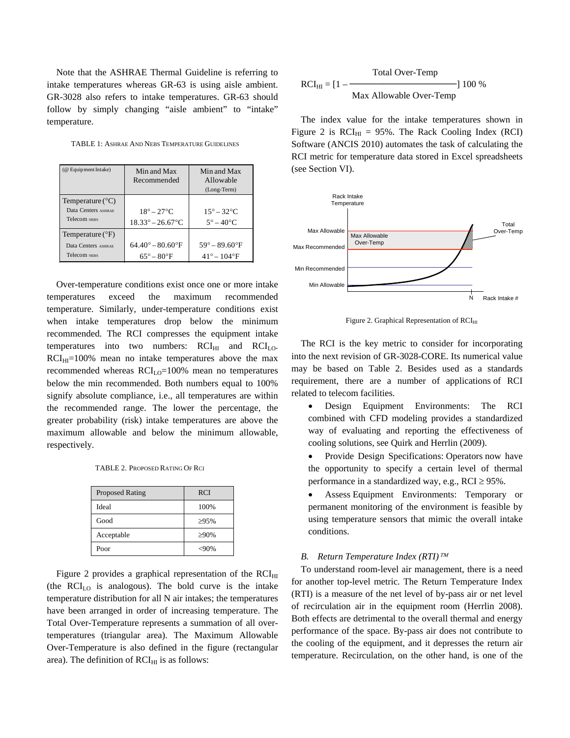Note that the ASHRAE Thermal Guideline is referring to intake temperatures whereas GR-63 is using aisle ambient. GR-3028 also refers to intake temperatures. GR-63 should follow by simply changing "aisle ambient" to "intake" temperature.

TABLE 1: ASHRAE AND NEBS TEMPERATURE GUIDELINES

| (@ Equipment Intake)      | Min and Max<br>Recommended        | Min and Max<br>Allowable       |
|---------------------------|-----------------------------------|--------------------------------|
|                           |                                   | $(Long-Term)$                  |
| Temperature $(^{\circ}C)$ |                                   |                                |
| Data Centers ASHRAE       | $18^{\circ} - 27^{\circ}$ C       | $15^{\circ} - 32^{\circ}$ C    |
| Telecom NEBS              | $18.33^{\circ} - 26.67^{\circ}$ C | $5^\circ - 40^\circ \text{C}$  |
| Temperature $(^{\circ}F)$ |                                   |                                |
| Data Centers ASHRAE       | $64.40^{\circ} - 80.60^{\circ}$ F | $59^{\circ} - 89.60^{\circ}$ F |
| Telecom NEBS              | $65^\circ - 80^\circ F$           | $41^{\circ} - 104^{\circ}F$    |

Over-temperature conditions exist once one or more intake temperatures exceed the maximum recommended temperature. Similarly, under-temperature conditions exist when intake temperatures drop below the minimum recommended. The RCI compresses the equipment intake temperatures into two numbers:  $RCI_{HI}$  and  $RCI_{LO}$ .  $RCI<sub>HI</sub>=100%$  mean no intake temperatures above the max recommended whereas  $RCI<sub>LO</sub>=100%$  mean no temperatures below the min recommended. Both numbers equal to 100% signify absolute compliance, i.e., all temperatures are within the recommended range. The lower the percentage, the greater probability (risk) intake temperatures are above the maximum allowable and below the minimum allowable, respectively.

|  | <b>TABLE 2. PROPOSED RATING OF RCI</b> |
|--|----------------------------------------|
|--|----------------------------------------|

| <b>Proposed Rating</b> | <b>RCI</b>  |
|------------------------|-------------|
| Ideal                  | 100%        |
| Good                   | $>95\%$     |
| Acceptable             | $\geq 90\%$ |
| Poor                   | <90%        |

Figure 2 provides a graphical representation of the  $RCI_{HI}$ (the  $RCI<sub>LO</sub>$  is analogous). The bold curve is the intake temperature distribution for all N air intakes; the temperatures have been arranged in order of increasing temperature. The Total Over-Temperature represents a summation of all overtemperatures (triangular area). The Maximum Allowable Over-Temperature is also defined in the figure (rectangular area). The definition of  $RCI_{HI}$  is as follows:

$$
RCI_{HI} = [1 - \frac{Total Over-Temp}{Max\;Allowable\;Over-Temp}]100\%
$$

The index value for the intake temperatures shown in Figure 2 is  $RCI_{HI} = 95\%$ . The Rack Cooling Index (RCI) Software (ANCIS 2010) automates the task of calculating the RCI metric for temperature data stored in Excel spreadsheets (see Section VI).



Figure 2. Graphical Representation of  $RCI<sub>HI</sub>$ 

The RCI is the key metric to consider for incorporating into the next revision of GR-3028-CORE. Its numerical value may be based on Table 2. Besides used as a standards requirement, there are a number of applications of RCI related to telecom facilities.

- Design Equipment Environments: The RCI combined with CFD modeling provides a standardized way of evaluating and reporting the effectiveness of cooling solutions, see Quirk and Herrlin (2009).
- Provide Design Specifications: Operators now have the opportunity to specify a certain level of thermal performance in a standardized way, e.g.,  $RCI \ge 95\%$ .
- Assess Equipment Environments: Temporary or permanent monitoring of the environment is feasible by using temperature sensors that mimic the overall intake conditions.

### *B. Return Temperature Index (RTI)*™

To understand room-level air management, there is a need for another top-level metric. The Return Temperature Index (RTI) is a measure of the net level of by-pass air or net level of recirculation air in the equipment room (Herrlin 2008). Both effects are detrimental to the overall thermal and energy performance of the space. By-pass air does not contribute to the cooling of the equipment, and it depresses the return air temperature. Recirculation, on the other hand, is one of the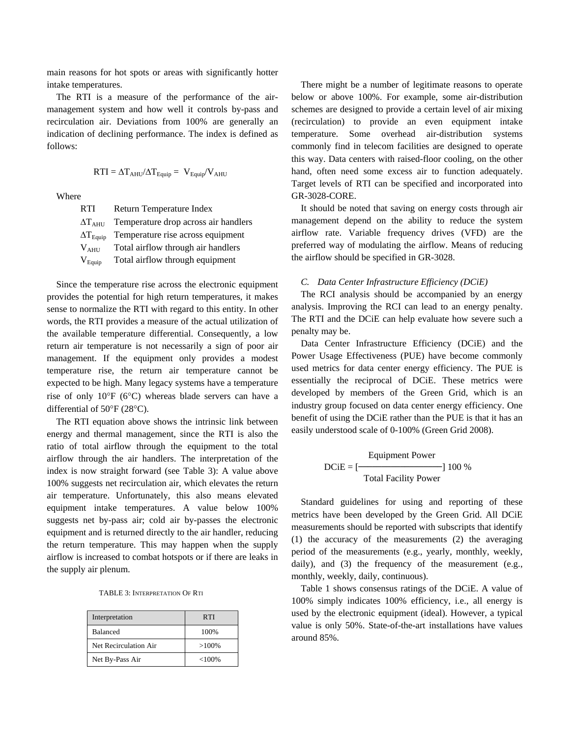main reasons for hot spots or areas with significantly hotter intake temperatures.

The RTI is a measure of the performance of the airmanagement system and how well it controls by-pass and recirculation air. Deviations from 100% are generally an indication of declining performance. The index is defined as follows:

$$
RTI = \Delta T_{AHU} / \Delta T_{Equip} = V_{Equip} / V_{AHU}
$$

Where

| <b>RTI</b>              | Return Temperature Index             |
|-------------------------|--------------------------------------|
| $\Delta T_{\rm AHII}$   | Temperature drop across air handlers |
| $\Delta T_{\rm{Equiv}}$ | Temperature rise across equipment    |
| $V_{AHU}$               | Total airflow through air handlers   |
| $V_{\text{Equip}}$      | Total airflow through equipment      |

Since the temperature rise across the electronic equipment provides the potential for high return temperatures, it makes sense to normalize the RTI with regard to this entity. In other words, the RTI provides a measure of the actual utilization of the available temperature differential. Consequently, a low return air temperature is not necessarily a sign of poor air management. If the equipment only provides a modest temperature rise, the return air temperature cannot be expected to be high. Many legacy systems have a temperature rise of only 10°F (6°C) whereas blade servers can have a differential of 50°F (28°C).

The RTI equation above shows the intrinsic link between energy and thermal management, since the RTI is also the ratio of total airflow through the equipment to the total airflow through the air handlers. The interpretation of the index is now straight forward (see Table 3): A value above 100% suggests net recirculation air, which elevates the return air temperature. Unfortunately, this also means elevated equipment intake temperatures. A value below 100% suggests net by-pass air; cold air by-passes the electronic equipment and is returned directly to the air handler, reducing the return temperature. This may happen when the supply airflow is increased to combat hotspots or if there are leaks in the supply air plenum.

TABLE 3: INTERPRETATION OF RTI

| Interpretation        | <b>RTI</b> |
|-----------------------|------------|
| <b>Balanced</b>       | 100%       |
| Net Recirculation Air | $>100\%$   |
| Net By-Pass Air       | $<$ 100%   |

There might be a number of legitimate reasons to operate below or above 100%. For example, some air-distribution schemes are designed to provide a certain level of air mixing (recirculation) to provide an even equipment intake temperature. Some overhead air-distribution systems commonly find in telecom facilities are designed to operate this way. Data centers with raised-floor cooling, on the other hand, often need some excess air to function adequately. Target levels of RTI can be specified and incorporated into GR-3028-CORE.

It should be noted that saving on energy costs through air management depend on the ability to reduce the system airflow rate. Variable frequency drives (VFD) are the preferred way of modulating the airflow. Means of reducing the airflow should be specified in GR-3028.

### *C. Data Center Infrastructure Efficiency (DCiE)*

The RCI analysis should be accompanied by an energy analysis. Improving the RCI can lead to an energy penalty. The RTI and the DCiE can help evaluate how severe such a penalty may be.

Data Center Infrastructure Efficiency (DCiE) and the Power Usage Effectiveness (PUE) have become commonly used metrics for data center energy efficiency. The PUE is essentially the reciprocal of DCiE. These metrics were developed by members of the Green Grid, which is an industry group focused on data center energy efficiency. One benefit of using the DCiE rather than the PUE is that it has an easily understood scale of 0-100% (Green Grid 2008).

$$
DCiE = [\frac{Equipment Power}{Total Facility Power}] 100 %
$$

Standard guidelines for using and reporting of these metrics have been developed by the Green Grid. All DCiE measurements should be reported with subscripts that identify (1) the accuracy of the measurements (2) the averaging period of the measurements (e.g., yearly, monthly, weekly, daily), and (3) the frequency of the measurement (e.g., monthly, weekly, daily, continuous).

Table 1 shows consensus ratings of the DCiE. A value of 100% simply indicates 100% efficiency, i.e., all energy is used by the electronic equipment (ideal). However, a typical value is only 50%. State-of-the-art installations have values around 85%.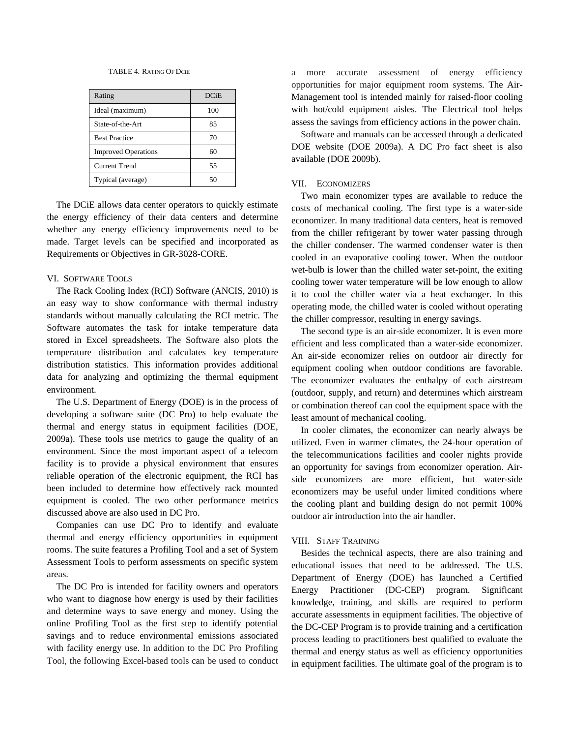| Rating                     | <b>DCiE</b> |
|----------------------------|-------------|
| Ideal (maximum)            | 100         |
| State-of-the-Art           | 85          |
| <b>Best Practice</b>       | 70          |
| <b>Improved Operations</b> | 60          |
| <b>Current Trend</b>       | 55          |
| Typical (average)          | 50          |

The DCiE allows data center operators to quickly estimate the energy efficiency of their data centers and determine whether any energy efficiency improvements need to be made. Target levels can be specified and incorporated as Requirements or Objectives in GR-3028-CORE.

# VI. SOFTWARE TOOLS

The Rack Cooling Index (RCI) Software (ANCIS, 2010) is an easy way to show conformance with thermal industry standards without manually calculating the RCI metric. The Software automates the task for intake temperature data stored in Excel spreadsheets. The Software also plots the temperature distribution and calculates key temperature distribution statistics. This information provides additional data for analyzing and optimizing the thermal equipment environment.

The U.S. Department of Energy (DOE) is in the process of developing a software suite (DC Pro) to help evaluate the thermal and energy status in equipment facilities (DOE, 2009a). These tools use metrics to gauge the quality of an environment. Since the most important aspect of a telecom facility is to provide a physical environment that ensures reliable operation of the electronic equipment, the RCI has been included to determine how effectively rack mounted equipment is cooled. The two other performance metrics discussed above are also used in DC Pro.

Companies can use DC Pro to identify and evaluate thermal and energy efficiency opportunities in equipment rooms. The suite features a Profiling Tool and a set of System Assessment Tools to perform assessments on specific system areas.

The DC Pro is intended for facility owners and operators who want to diagnose how energy is used by their facilities and determine ways to save energy and money. Using the online Profiling Tool as the first step to identify potential savings and to reduce environmental emissions associated with facility energy use. In addition to the DC Pro Profiling Tool, the following Excel-based tools can be used to conduct a more accurate assessment of energy efficiency opportunities for major equipment room systems. The Air-Management tool is intended mainly for raised-floor cooling with hot/cold equipment aisles. The Electrical tool helps assess the savings from efficiency actions in the power chain.

Software and manuals can be accessed through a dedicated DOE website (DOE 2009a). A DC Pro fact sheet is also available (DOE 2009b).

#### VII. ECONOMIZERS

Two main economizer types are available to reduce the costs of mechanical cooling. The first type is a water-side economizer. In many traditional data centers, heat is removed from the chiller refrigerant by tower water passing through the chiller condenser. The warmed condenser water is then cooled in an evaporative cooling tower. When the outdoor wet-bulb is lower than the chilled water set-point, the exiting cooling tower water temperature will be low enough to allow it to cool the chiller water via a heat exchanger. In this operating mode, the chilled water is cooled without operating the chiller compressor, resulting in energy savings.

The second type is an air-side economizer. It is even more efficient and less complicated than a water-side economizer. An air-side economizer relies on outdoor air directly for equipment cooling when outdoor conditions are favorable. The economizer evaluates the enthalpy of each airstream (outdoor, supply, and return) and determines which airstream or combination thereof can cool the equipment space with the least amount of mechanical cooling.

In cooler climates, the economizer can nearly always be utilized. Even in warmer climates, the 24-hour operation of the telecommunications facilities and cooler nights provide an opportunity for savings from economizer operation. Airside economizers are more efficient, but water-side economizers may be useful under limited conditions where the cooling plant and building design do not permit 100% outdoor air introduction into the air handler.

#### VIII. STAFF TRAINING

Besides the technical aspects, there are also training and educational issues that need to be addressed. The U.S. Department of Energy (DOE) has launched a Certified Energy Practitioner (DC-CEP) program. Significant knowledge, training, and skills are required to perform accurate assessments in equipment facilities. The objective of the DC-CEP Program is to provide training and a certification process leading to practitioners best qualified to evaluate the thermal and energy status as well as efficiency opportunities in equipment facilities. The ultimate goal of the program is to